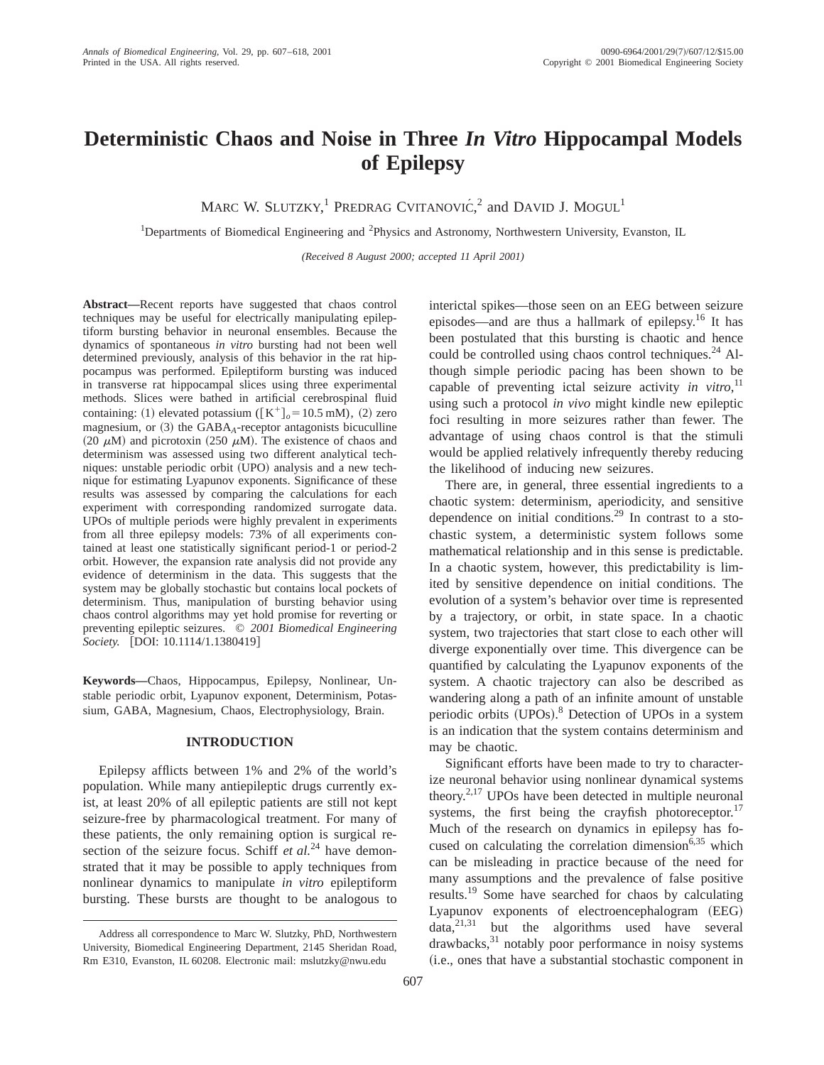# **Deterministic Chaos and Noise in Three** *In Vitro* **Hippocampal Models of Epilepsy**

MARC W. SLUTZKY,<sup>1</sup> PREDRAG CVITANOVIĆ,<sup>2</sup> and DAVID J. MOGUL<sup>1</sup>

<sup>1</sup>Departments of Biomedical Engineering and <sup>2</sup>Physics and Astronomy, Northwestern University, Evanston, IL

*(Received 8 August 2000; accepted 11 April 2001)*

**Abstract—**Recent reports have suggested that chaos control techniques may be useful for electrically manipulating epileptiform bursting behavior in neuronal ensembles. Because the dynamics of spontaneous *in vitro* bursting had not been well determined previously, analysis of this behavior in the rat hippocampus was performed. Epileptiform bursting was induced in transverse rat hippocampal slices using three experimental methods. Slices were bathed in artificial cerebrospinal fluid containing: (1) elevated potassium ( $[K^+]_o = 10.5$  mM), (2) zero magnesium, or  $(3)$  the GABA<sub>A</sub>-receptor antagonists bicuculline (20  $\mu$ M) and picrotoxin (250  $\mu$ M). The existence of chaos and determinism was assessed using two different analytical techniques: unstable periodic orbit (UPO) analysis and a new technique for estimating Lyapunov exponents. Significance of these results was assessed by comparing the calculations for each experiment with corresponding randomized surrogate data. UPOs of multiple periods were highly prevalent in experiments from all three epilepsy models: 73% of all experiments contained at least one statistically significant period-1 or period-2 orbit. However, the expansion rate analysis did not provide any evidence of determinism in the data. This suggests that the system may be globally stochastic but contains local pockets of determinism. Thus, manipulation of bursting behavior using chaos control algorithms may yet hold promise for reverting or preventing epileptic seizures. © *2001 Biomedical Engineering Society.* [DOI: 10.1114/1.1380419]

**Keywords—**Chaos, Hippocampus, Epilepsy, Nonlinear, Unstable periodic orbit, Lyapunov exponent, Determinism, Potassium, GABA, Magnesium, Chaos, Electrophysiology, Brain.

## **INTRODUCTION**

Epilepsy afflicts between 1% and 2% of the world's population. While many antiepileptic drugs currently exist, at least 20% of all epileptic patients are still not kept seizure-free by pharmacological treatment. For many of these patients, the only remaining option is surgical resection of the seizure focus. Schiff *et al.*<sup>24</sup> have demonstrated that it may be possible to apply techniques from nonlinear dynamics to manipulate *in vitro* epileptiform bursting. These bursts are thought to be analogous to interictal spikes—those seen on an EEG between seizure episodes—and are thus a hallmark of epilepsy.16 It has been postulated that this bursting is chaotic and hence could be controlled using chaos control techniques.<sup>24</sup> Although simple periodic pacing has been shown to be capable of preventing ictal seizure activity *in vitro*, 11 using such a protocol *in vivo* might kindle new epileptic foci resulting in more seizures rather than fewer. The advantage of using chaos control is that the stimuli would be applied relatively infrequently thereby reducing the likelihood of inducing new seizures.

There are, in general, three essential ingredients to a chaotic system: determinism, aperiodicity, and sensitive dependence on initial conditions.29 In contrast to a stochastic system, a deterministic system follows some mathematical relationship and in this sense is predictable. In a chaotic system, however, this predictability is limited by sensitive dependence on initial conditions. The evolution of a system's behavior over time is represented by a trajectory, or orbit, in state space. In a chaotic system, two trajectories that start close to each other will diverge exponentially over time. This divergence can be quantified by calculating the Lyapunov exponents of the system. A chaotic trajectory can also be described as wandering along a path of an infinite amount of unstable periodic orbits (UPOs).<sup>8</sup> Detection of UPOs in a system is an indication that the system contains determinism and may be chaotic.

Significant efforts have been made to try to characterize neuronal behavior using nonlinear dynamical systems theory.2,17 UPOs have been detected in multiple neuronal systems, the first being the crayfish photoreceptor.<sup>17</sup> Much of the research on dynamics in epilepsy has focused on calculating the correlation dimension<sup>6,35</sup> which can be misleading in practice because of the need for many assumptions and the prevalence of false positive results.19 Some have searched for chaos by calculating Lyapunov exponents of electroencephalogram (EEG)  $data$ <sup>21,31</sup> but the algorithms used have several drawbacks,31 notably poor performance in noisy systems (i.e., ones that have a substantial stochastic component in

Address all correspondence to Marc W. Slutzky, PhD, Northwestern University, Biomedical Engineering Department, 2145 Sheridan Road, Rm E310, Evanston, IL 60208. Electronic mail: mslutzky@nwu.edu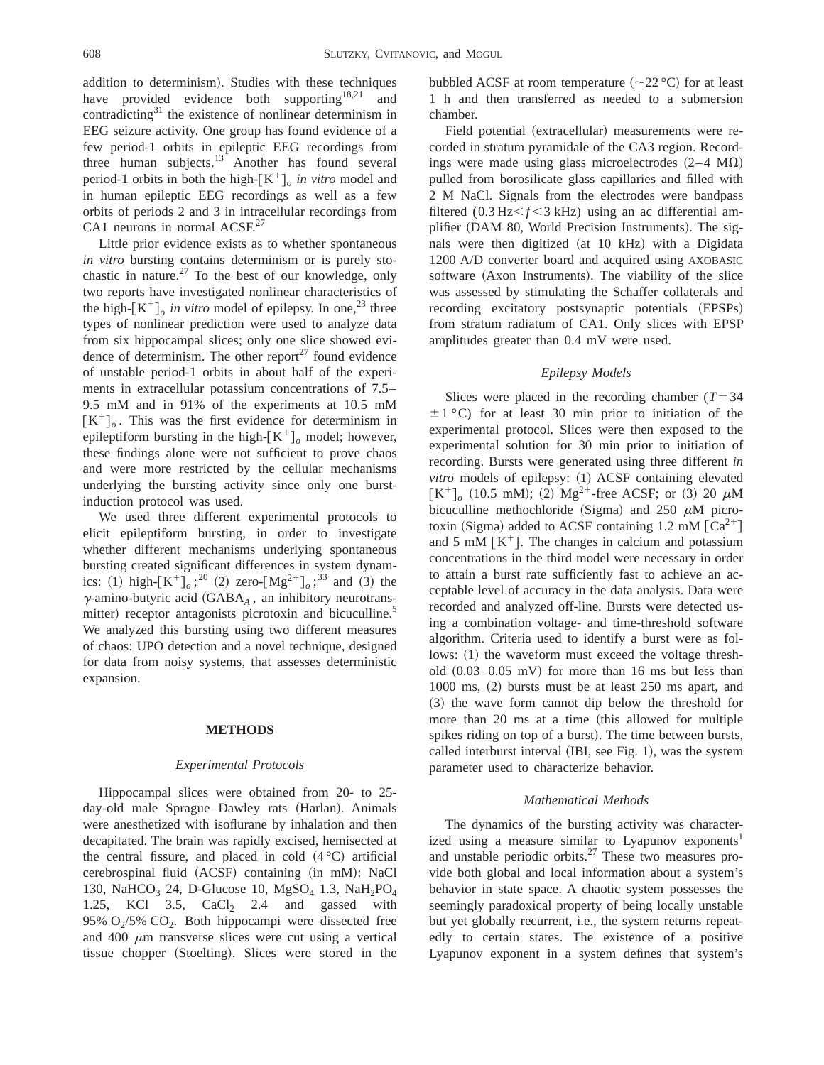addition to determinism). Studies with these techniques have provided evidence both supporting<sup>18,21</sup> and contradicting $31$  the existence of nonlinear determinism in EEG seizure activity. One group has found evidence of a few period-1 orbits in epileptic EEG recordings from three human subjects.<sup>13</sup> Another has found several period-1 orbits in both the high- $[K^+]_o$  *in vitro* model and in human epileptic EEG recordings as well as a few orbits of periods 2 and 3 in intracellular recordings from CA1 neurons in normal ACSF.<sup>27</sup>

Little prior evidence exists as to whether spontaneous *in vitro* bursting contains determinism or is purely stochastic in nature.<sup>27</sup> To the best of our knowledge, only two reports have investigated nonlinear characteristics of the high- $[K^+]_o$  *in vitro* model of epilepsy. In one,<sup>23</sup> three types of nonlinear prediction were used to analyze data from six hippocampal slices; only one slice showed evidence of determinism. The other report $^{27}$  found evidence of unstable period-1 orbits in about half of the experiments in extracellular potassium concentrations of 7.5– 9.5 mM and in 91% of the experiments at 10.5 mM  $[K^+]_o$ . This was the first evidence for determinism in epileptiform bursting in the high- $K^+$ <sup>*o*</sup> model; however, these findings alone were not sufficient to prove chaos and were more restricted by the cellular mechanisms underlying the bursting activity since only one burstinduction protocol was used.

We used three different experimental protocols to elicit epileptiform bursting, in order to investigate whether different mechanisms underlying spontaneous bursting created significant differences in system dynamics: (1) high- $[K^+]_o$ ;<sup>20</sup> (2) zero- $[Mg^{2+}]_o$ ;<sup>33</sup> and (3) the  $\gamma$ -amino-butyric acid (GABA<sub>A</sub>, an inhibitory neurotransmitter) receptor antagonists picrotoxin and bicuculline.<sup>5</sup> We analyzed this bursting using two different measures of chaos: UPO detection and a novel technique, designed for data from noisy systems, that assesses deterministic expansion.

#### **METHODS**

#### *Experimental Protocols*

Hippocampal slices were obtained from 20- to 25 day-old male Sprague–Dawley rats (Harlan). Animals were anesthetized with isoflurane by inhalation and then decapitated. The brain was rapidly excised, hemisected at the central fissure, and placed in cold  $(4 °C)$  artificial cerebrospinal fluid (ACSF) containing (in mM): NaCl 130, NaHCO<sub>3</sub> 24, D-Glucose 10, MgSO<sub>4</sub> 1.3, NaH<sub>2</sub>PO<sub>4</sub> 1.25, KCl  $3.5$ , CaCl  $2.4$  and gassed with 95%  $O_2/5$ %  $CO_2$ . Both hippocampi were dissected free and 400  $\mu$ m transverse slices were cut using a vertical tissue chopper (Stoelting). Slices were stored in the bubbled ACSF at room temperature  $(\sim 22 \degree C)$  for at least 1 h and then transferred as needed to a submersion chamber.

Field potential (extracellular) measurements were recorded in stratum pyramidale of the CA3 region. Recordings were made using glass microelectrodes  $(2-4 M\Omega)$ pulled from borosilicate glass capillaries and filled with 2 M NaCl. Signals from the electrodes were bandpass filtered  $(0.3 \text{ Hz} < f < 3 \text{ kHz})$  using an ac differential amplifier (DAM 80, World Precision Instruments). The signals were then digitized (at 10 kHz) with a Digidata 1200 A/D converter board and acquired using AXOBASIC software (Axon Instruments). The viability of the slice was assessed by stimulating the Schaffer collaterals and recording excitatory postsynaptic potentials (EPSPs) from stratum radiatum of CA1. Only slices with EPSP amplitudes greater than 0.4 mV were used.

## *Epilepsy Models*

Slices were placed in the recording chamber  $(T=34)$  $\pm 1$  °C) for at least 30 min prior to initiation of the experimental protocol. Slices were then exposed to the experimental solution for 30 min prior to initiation of recording. Bursts were generated using three different *in vitro* models of epilepsy: (1) ACSF containing elevated  $[K^+]_0$  (10.5 mM); (2) Mg<sup>2+</sup>-free ACSF; or (3) 20  $\mu$ M bicuculline methochloride (Sigma) and 250  $\mu$ M picrotoxin (Sigma) added to ACSF containing 1.2 mM  $\lceil Ca^{2+} \rceil$ and 5 mM  $\lceil K^+ \rceil$ . The changes in calcium and potassium concentrations in the third model were necessary in order to attain a burst rate sufficiently fast to achieve an acceptable level of accuracy in the data analysis. Data were recorded and analyzed off-line. Bursts were detected using a combination voltage- and time-threshold software algorithm. Criteria used to identify a burst were as follows:  $(1)$  the waveform must exceed the voltage threshold  $(0.03-0.05 \text{ mV})$  for more than 16 ms but less than  $1000 \text{ ms}$ ,  $(2)$  bursts must be at least  $250 \text{ ms}$  apart, and ~3! the wave form cannot dip below the threshold for more than 20 ms at a time (this allowed for multiple spikes riding on top of a burst). The time between bursts, called interburst interval  $(HBI, see Fig. 1)$ , was the system parameter used to characterize behavior.

#### *Mathematical Methods*

The dynamics of the bursting activity was characterized using a measure similar to Lyapunov exponents<sup>1</sup> and unstable periodic orbits. $27$  These two measures provide both global and local information about a system's behavior in state space. A chaotic system possesses the seemingly paradoxical property of being locally unstable but yet globally recurrent, i.e., the system returns repeatedly to certain states. The existence of a positive Lyapunov exponent in a system defines that system's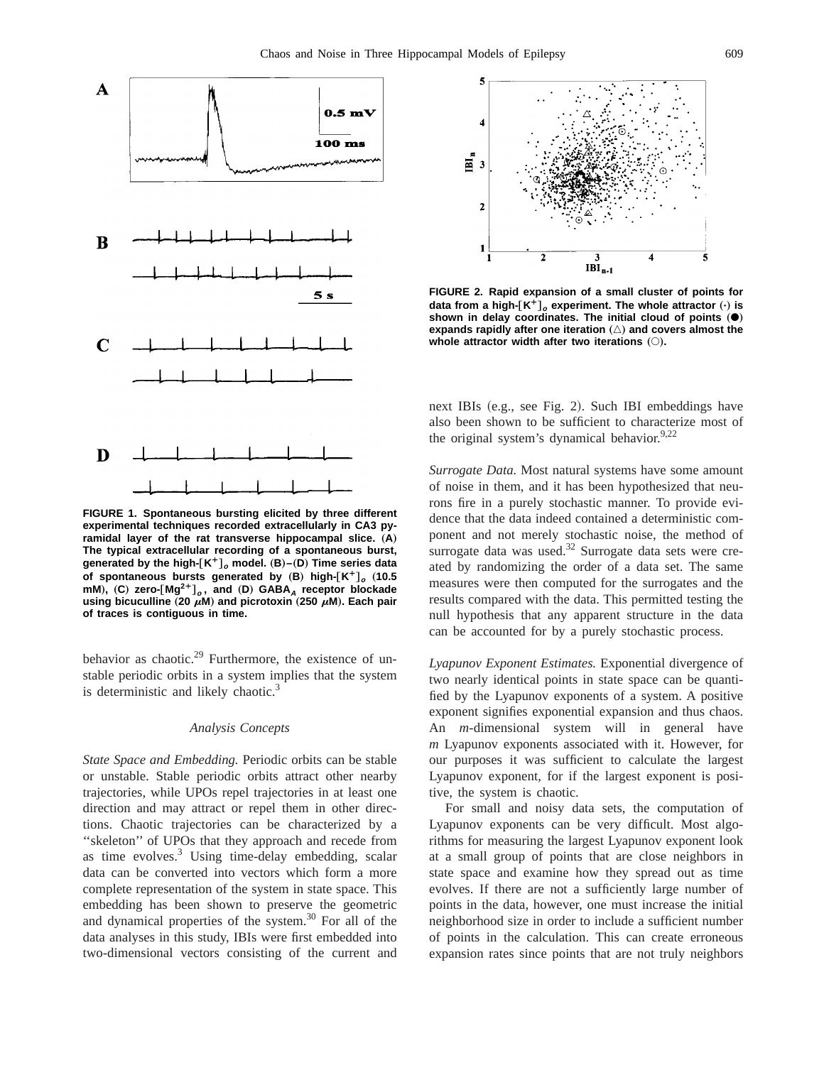

**FIGURE 1. Spontaneous bursting elicited by three different experimental techniques recorded extracellularly in CA3 py**ramidal layer of the rat transverse hippocampal slice. (A) **The typical extracellular recording of a spontaneous burst, generated by the high-**†**K¿**‡**<sup>o</sup> model.** "**B**…**–**"**D**… **Time series data of spontaneous bursts generated by (B) high-** $[K^+]_o$  **(10.5 mM**…**,** "**C**… **zero-**†**Mg2¿**‡**<sup>o</sup> , and** "**D**… **GABA<sup>A</sup> receptor blockade using bicuculline** (20  $\mu$ M) and picrotoxin (250  $\mu$ M). Each pair **of traces is contiguous in time.**

behavior as chaotic.<sup>29</sup> Furthermore, the existence of unstable periodic orbits in a system implies that the system is deterministic and likely chaotic. $3$ 

## *Analysis Concepts*

*State Space and Embedding.* Periodic orbits can be stable or unstable. Stable periodic orbits attract other nearby trajectories, while UPOs repel trajectories in at least one direction and may attract or repel them in other directions. Chaotic trajectories can be characterized by a ''skeleton'' of UPOs that they approach and recede from as time evolves. $3$  Using time-delay embedding, scalar data can be converted into vectors which form a more complete representation of the system in state space. This embedding has been shown to preserve the geometric and dynamical properties of the system.30 For all of the data analyses in this study, IBIs were first embedded into two-dimensional vectors consisting of the current and



**FIGURE 2. Rapid expansion of a small cluster of points for data from a high-** $[K^+]_o$  **experiment. The whole attractor**  $(\cdot)$  **is** shown in delay coordinates. The initial cloud of points  $\phi$ expands rapidly after one iteration  $(\triangle)$  and covers almost the whole attractor width after two iterations  $($ ).

next IBIs (e.g., see Fig. 2). Such IBI embeddings have also been shown to be sufficient to characterize most of the original system's dynamical behavior.  $9.22$ 

*Surrogate Data.* Most natural systems have some amount of noise in them, and it has been hypothesized that neurons fire in a purely stochastic manner. To provide evidence that the data indeed contained a deterministic component and not merely stochastic noise, the method of surrogate data was used.<sup>32</sup> Surrogate data sets were created by randomizing the order of a data set. The same measures were then computed for the surrogates and the results compared with the data. This permitted testing the null hypothesis that any apparent structure in the data can be accounted for by a purely stochastic process.

*Lyapunov Exponent Estimates.* Exponential divergence of two nearly identical points in state space can be quantified by the Lyapunov exponents of a system. A positive exponent signifies exponential expansion and thus chaos. An *m*-dimensional system will in general have *m* Lyapunov exponents associated with it. However, for our purposes it was sufficient to calculate the largest Lyapunov exponent, for if the largest exponent is positive, the system is chaotic.

For small and noisy data sets, the computation of Lyapunov exponents can be very difficult. Most algorithms for measuring the largest Lyapunov exponent look at a small group of points that are close neighbors in state space and examine how they spread out as time evolves. If there are not a sufficiently large number of points in the data, however, one must increase the initial neighborhood size in order to include a sufficient number of points in the calculation. This can create erroneous expansion rates since points that are not truly neighbors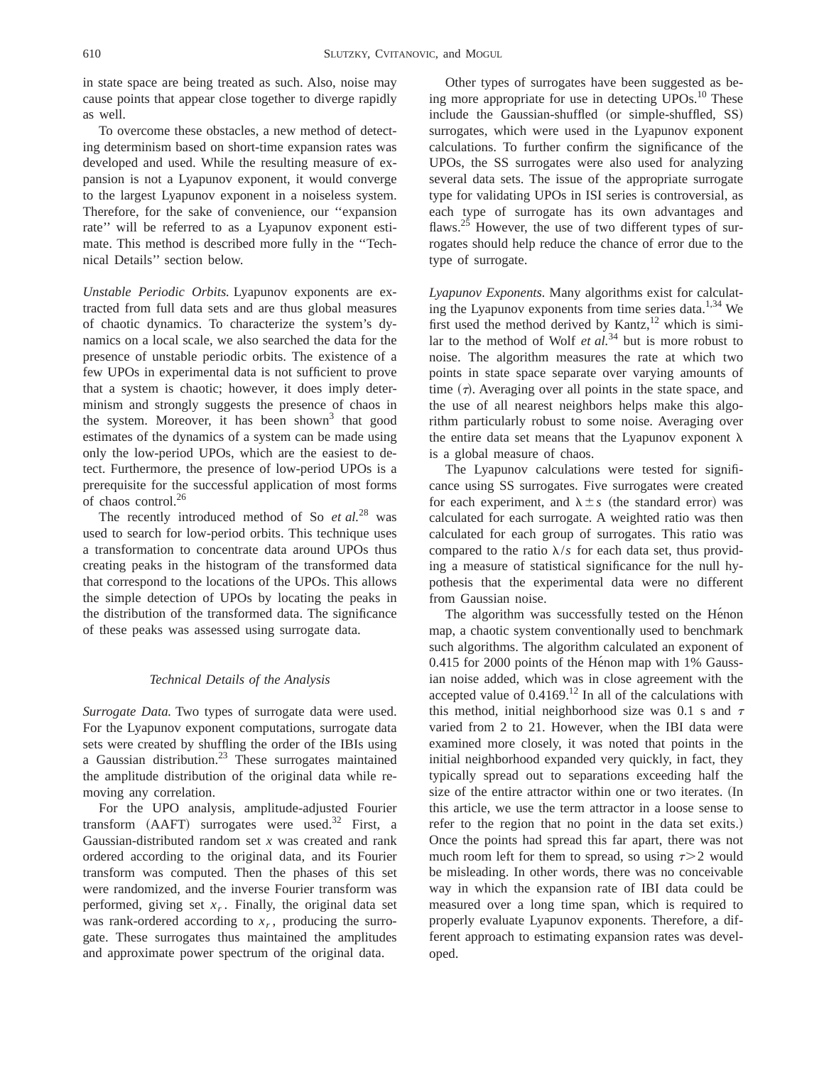in state space are being treated as such. Also, noise may cause points that appear close together to diverge rapidly as well.

To overcome these obstacles, a new method of detecting determinism based on short-time expansion rates was developed and used. While the resulting measure of expansion is not a Lyapunov exponent, it would converge to the largest Lyapunov exponent in a noiseless system. Therefore, for the sake of convenience, our ''expansion rate'' will be referred to as a Lyapunov exponent estimate. This method is described more fully in the ''Technical Details'' section below.

*Unstable Periodic Orbits.* Lyapunov exponents are extracted from full data sets and are thus global measures of chaotic dynamics. To characterize the system's dynamics on a local scale, we also searched the data for the presence of unstable periodic orbits. The existence of a few UPOs in experimental data is not sufficient to prove that a system is chaotic; however, it does imply determinism and strongly suggests the presence of chaos in the system. Moreover, it has been shown<sup>3</sup> that good estimates of the dynamics of a system can be made using only the low-period UPOs, which are the easiest to detect. Furthermore, the presence of low-period UPOs is a prerequisite for the successful application of most forms of chaos control.<sup>26</sup>

The recently introduced method of So *et al.*<sup>28</sup> was used to search for low-period orbits. This technique uses a transformation to concentrate data around UPOs thus creating peaks in the histogram of the transformed data that correspond to the locations of the UPOs. This allows the simple detection of UPOs by locating the peaks in the distribution of the transformed data. The significance of these peaks was assessed using surrogate data.

## *Technical Details of the Analysis*

*Surrogate Data.* Two types of surrogate data were used. For the Lyapunov exponent computations, surrogate data sets were created by shuffling the order of the IBIs using a Gaussian distribution.<sup>23</sup> These surrogates maintained the amplitude distribution of the original data while removing any correlation.

For the UPO analysis, amplitude-adjusted Fourier transform  $(AAFT)$  surrogates were used.<sup>32</sup> First, a Gaussian-distributed random set *x* was created and rank ordered according to the original data, and its Fourier transform was computed. Then the phases of this set were randomized, and the inverse Fourier transform was performed, giving set  $x_r$ . Finally, the original data set was rank-ordered according to  $x_r$ , producing the surrogate. These surrogates thus maintained the amplitudes and approximate power spectrum of the original data.

Other types of surrogates have been suggested as being more appropriate for use in detecting  $UPOs.<sup>10</sup>$  These include the Gaussian-shuffled (or simple-shuffled, SS) surrogates, which were used in the Lyapunov exponent calculations. To further confirm the significance of the UPOs, the SS surrogates were also used for analyzing several data sets. The issue of the appropriate surrogate type for validating UPOs in ISI series is controversial, as each type of surrogate has its own advantages and flaws.<sup>25</sup> However, the use of two different types of surrogates should help reduce the chance of error due to the type of surrogate.

*Lyapunov Exponents.* Many algorithms exist for calculating the Lyapunov exponents from time series data.<sup>1,34</sup> We first used the method derived by Kantz,  $12$  which is similar to the method of Wolf *et al.*<sup>34</sup> but is more robust to noise. The algorithm measures the rate at which two points in state space separate over varying amounts of time  $(\tau)$ . Averaging over all points in the state space, and the use of all nearest neighbors helps make this algorithm particularly robust to some noise. Averaging over the entire data set means that the Lyapunov exponent  $\lambda$ is a global measure of chaos.

The Lyapunov calculations were tested for significance using SS surrogates. Five surrogates were created for each experiment, and  $\lambda \pm s$  (the standard error) was calculated for each surrogate. A weighted ratio was then calculated for each group of surrogates. This ratio was compared to the ratio  $\lambda/s$  for each data set, thus providing a measure of statistical significance for the null hypothesis that the experimental data were no different from Gaussian noise.

The algorithm was successfully tested on the Hénon map, a chaotic system conventionally used to benchmark such algorithms. The algorithm calculated an exponent of  $0.415$  for 2000 points of the Hénon map with 1% Gaussian noise added, which was in close agreement with the accepted value of  $0.4169$ .<sup>12</sup> In all of the calculations with this method, initial neighborhood size was 0.1 s and  $\tau$ varied from 2 to 21. However, when the IBI data were examined more closely, it was noted that points in the initial neighborhood expanded very quickly, in fact, they typically spread out to separations exceeding half the size of the entire attractor within one or two iterates. (In this article, we use the term attractor in a loose sense to refer to the region that no point in the data set exits.) Once the points had spread this far apart, there was not much room left for them to spread, so using  $\tau > 2$  would be misleading. In other words, there was no conceivable way in which the expansion rate of IBI data could be measured over a long time span, which is required to properly evaluate Lyapunov exponents. Therefore, a different approach to estimating expansion rates was developed.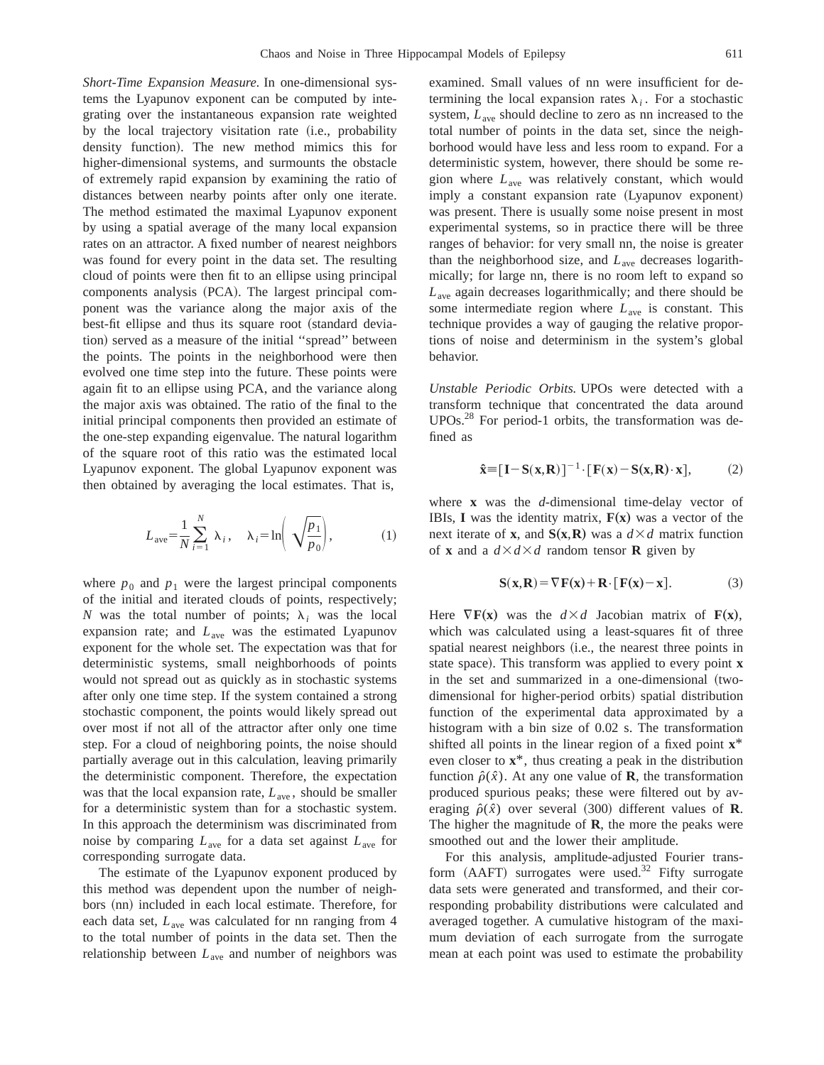*Short-Time Expansion Measure.* In one-dimensional systems the Lyapunov exponent can be computed by integrating over the instantaneous expansion rate weighted by the local trajectory visitation rate (i.e., probability density function). The new method mimics this for higher-dimensional systems, and surmounts the obstacle of extremely rapid expansion by examining the ratio of distances between nearby points after only one iterate. The method estimated the maximal Lyapunov exponent by using a spatial average of the many local expansion rates on an attractor. A fixed number of nearest neighbors was found for every point in the data set. The resulting cloud of points were then fit to an ellipse using principal components analysis (PCA). The largest principal component was the variance along the major axis of the best-fit ellipse and thus its square root (standard deviation) served as a measure of the initial "spread" between the points. The points in the neighborhood were then evolved one time step into the future. These points were again fit to an ellipse using PCA, and the variance along the major axis was obtained. The ratio of the final to the initial principal components then provided an estimate of the one-step expanding eigenvalue. The natural logarithm of the square root of this ratio was the estimated local Lyapunov exponent. The global Lyapunov exponent was then obtained by averaging the local estimates. That is,

$$
L_{\text{ave}} = \frac{1}{N} \sum_{i=1}^{N} \lambda_i, \quad \lambda_i = \ln\left(\sqrt{\frac{p_1}{p_0}}\right), \tag{1}
$$

where  $p_0$  and  $p_1$  were the largest principal components of the initial and iterated clouds of points, respectively; *N* was the total number of points;  $\lambda_i$  was the local expansion rate; and *L*ave was the estimated Lyapunov exponent for the whole set. The expectation was that for deterministic systems, small neighborhoods of points would not spread out as quickly as in stochastic systems after only one time step. If the system contained a strong stochastic component, the points would likely spread out over most if not all of the attractor after only one time step. For a cloud of neighboring points, the noise should partially average out in this calculation, leaving primarily the deterministic component. Therefore, the expectation was that the local expansion rate,  $L_{ave}$ , should be smaller for a deterministic system than for a stochastic system. In this approach the determinism was discriminated from noise by comparing *L*ave for a data set against *L*ave for corresponding surrogate data.

The estimate of the Lyapunov exponent produced by this method was dependent upon the number of neighbors (nn) included in each local estimate. Therefore, for each data set, *L*ave was calculated for nn ranging from 4 to the total number of points in the data set. Then the relationship between *L*ave and number of neighbors was

examined. Small values of nn were insufficient for determining the local expansion rates  $\lambda_i$ . For a stochastic system,  $L_{ave}$  should decline to zero as nn increased to the total number of points in the data set, since the neighborhood would have less and less room to expand. For a deterministic system, however, there should be some region where *L*ave was relatively constant, which would imply a constant expansion rate (Lyapunov exponent) was present. There is usually some noise present in most experimental systems, so in practice there will be three ranges of behavior: for very small nn, the noise is greater than the neighborhood size, and *L*ave decreases logarithmically; for large nn, there is no room left to expand so *L*ave again decreases logarithmically; and there should be some intermediate region where *L*ave is constant. This technique provides a way of gauging the relative proportions of noise and determinism in the system's global behavior.

*Unstable Periodic Orbits.* UPOs were detected with a transform technique that concentrated the data around UPOs.28 For period-1 orbits, the transformation was defined as

$$
\hat{\mathbf{x}} = [\mathbf{I} - \mathbf{S}(\mathbf{x}, \mathbf{R})]^{-1} \cdot [\mathbf{F}(\mathbf{x}) - \mathbf{S}(\mathbf{x}, \mathbf{R}) \cdot \mathbf{x}], \quad (2)
$$

where **x** was the *d*-dimensional time-delay vector of IBIs, **I** was the identity matrix,  $F(x)$  was a vector of the next iterate of **x**, and  $S(x,R)$  was a  $d \times d$  matrix function of **x** and a  $d \times d \times d$  random tensor **R** given by

$$
S(x,R) = \nabla F(x) + R \cdot [F(x) - x]. \tag{3}
$$

Here  $\nabla$ **F**(**x**) was the  $d \times d$  Jacobian matrix of **F**(**x**), which was calculated using a least-squares fit of three spatial nearest neighbors (i.e., the nearest three points in state space). This transform was applied to every point **x** in the set and summarized in a one-dimensional (twodimensional for higher-period orbits) spatial distribution function of the experimental data approximated by a histogram with a bin size of 0.02 s. The transformation shifted all points in the linear region of a fixed point **x**\* even closer to **x**\*, thus creating a peak in the distribution function  $\hat{\rho}(\hat{x})$ . At any one value of **R**, the transformation produced spurious peaks; these were filtered out by averaging  $\hat{\rho}(\hat{x})$  over several (300) different values of **R**. The higher the magnitude of **R**, the more the peaks were smoothed out and the lower their amplitude.

For this analysis, amplitude-adjusted Fourier transform  $(AAFT)$  surrogates were used.<sup>32</sup> Fifty surrogate data sets were generated and transformed, and their corresponding probability distributions were calculated and averaged together. A cumulative histogram of the maximum deviation of each surrogate from the surrogate mean at each point was used to estimate the probability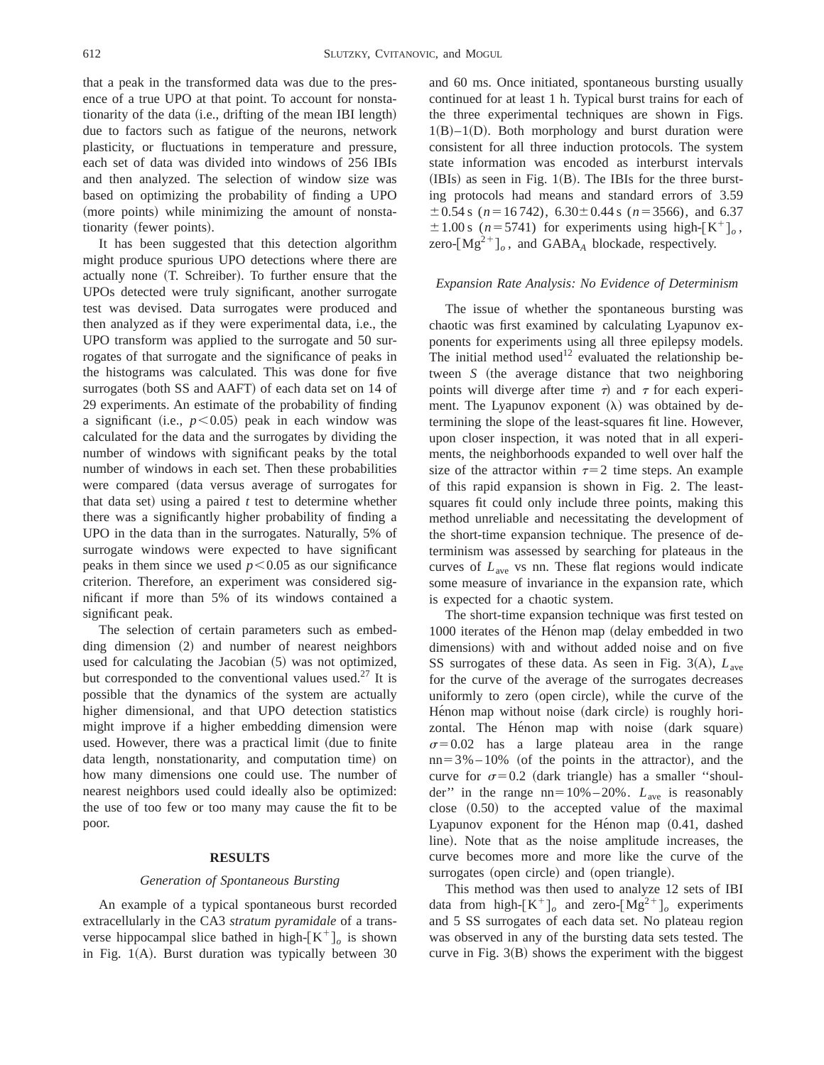that a peak in the transformed data was due to the presence of a true UPO at that point. To account for nonstationarity of the data (i.e., drifting of the mean IBI length) due to factors such as fatigue of the neurons, network plasticity, or fluctuations in temperature and pressure, each set of data was divided into windows of 256 IBIs and then analyzed. The selection of window size was based on optimizing the probability of finding a UPO (more points) while minimizing the amount of nonstationarity (fewer points).

It has been suggested that this detection algorithm might produce spurious UPO detections where there are actually none (T. Schreiber). To further ensure that the UPOs detected were truly significant, another surrogate test was devised. Data surrogates were produced and then analyzed as if they were experimental data, i.e., the UPO transform was applied to the surrogate and 50 surrogates of that surrogate and the significance of peaks in the histograms was calculated. This was done for five surrogates (both SS and AAFT) of each data set on 14 of 29 experiments. An estimate of the probability of finding a significant (i.e.,  $p < 0.05$ ) peak in each window was calculated for the data and the surrogates by dividing the number of windows with significant peaks by the total number of windows in each set. Then these probabilities were compared (data versus average of surrogates for that data set) using a paired  $t$  test to determine whether there was a significantly higher probability of finding a UPO in the data than in the surrogates. Naturally, 5% of surrogate windows were expected to have significant peaks in them since we used  $p < 0.05$  as our significance criterion. Therefore, an experiment was considered significant if more than 5% of its windows contained a significant peak.

The selection of certain parameters such as embed- $\pi$  dimension  $(2)$  and number of nearest neighbors used for calculating the Jacobian  $(5)$  was not optimized, but corresponded to the conventional values used.<sup>27</sup> It is possible that the dynamics of the system are actually higher dimensional, and that UPO detection statistics might improve if a higher embedding dimension were used. However, there was a practical limit (due to finite data length, nonstationarity, and computation time) on how many dimensions one could use. The number of nearest neighbors used could ideally also be optimized: the use of too few or too many may cause the fit to be poor.

## **RESULTS**

#### *Generation of Spontaneous Bursting*

An example of a typical spontaneous burst recorded extracellularly in the CA3 *stratum pyramidale* of a transverse hippocampal slice bathed in high- $[K^+]_o$  is shown in Fig.  $1(A)$ . Burst duration was typically between 30

and 60 ms. Once initiated, spontaneous bursting usually continued for at least 1 h. Typical burst trains for each of the three experimental techniques are shown in Figs.  $1(B)-1(D)$ . Both morphology and burst duration were consistent for all three induction protocols. The system state information was encoded as interburst intervals  $(HBIs)$  as seen in Fig. 1 $(B)$ . The IBIs for the three bursting protocols had means and standard errors of 3.59  $\pm$  0.54 s (*n* = 16 742), 6.30 $\pm$  0.44 s (*n* = 3566), and 6.37  $\pm 1.00$  s ( $n = 5741$ ) for experiments using high- $\left[K^+\right]_0$ , zero- $[Mg^{2+}]_o$ , and GABA<sub>*A*</sub> blockade, respectively.

#### *Expansion Rate Analysis: No Evidence of Determinism*

The issue of whether the spontaneous bursting was chaotic was first examined by calculating Lyapunov exponents for experiments using all three epilepsy models. The initial method used<sup>12</sup> evaluated the relationship between *S* (the average distance that two neighboring points will diverge after time  $\tau$ ) and  $\tau$  for each experiment. The Lyapunov exponent  $(\lambda)$  was obtained by determining the slope of the least-squares fit line. However, upon closer inspection, it was noted that in all experiments, the neighborhoods expanded to well over half the size of the attractor within  $\tau=2$  time steps. An example of this rapid expansion is shown in Fig. 2. The leastsquares fit could only include three points, making this method unreliable and necessitating the development of the short-time expansion technique. The presence of determinism was assessed by searching for plateaus in the curves of *L*ave vs nn. These flat regions would indicate some measure of invariance in the expansion rate, which is expected for a chaotic system.

The short-time expansion technique was first tested on 1000 iterates of the Hénon map (delay embedded in two dimensions) with and without added noise and on five SS surrogates of these data. As seen in Fig. 3(A),  $L_{ave}$ for the curve of the average of the surrogates decreases uniformly to zero (open circle), while the curve of the Hénon map without noise (dark circle) is roughly horizontal. The Hénon map with noise (dark square)  $\sigma$ =0.02 has a large plateau area in the range  $nn = 3\% - 10\%$  (of the points in the attractor), and the curve for  $\sigma$ =0.2 (dark triangle) has a smaller "shoulder" in the range  $nn=10\% - 20\%$ .  $L_{ave}$  is reasonably close  $(0.50)$  to the accepted value of the maximal Lyapunov exponent for the Hénon map  $(0.41,$  dashed line). Note that as the noise amplitude increases, the curve becomes more and more like the curve of the surrogates (open circle) and (open triangle).

This method was then used to analyze 12 sets of IBI data from high- $[K^+]_o$  and zero- $[Mg^{2+}]_o$  experiments and 5 SS surrogates of each data set. No plateau region was observed in any of the bursting data sets tested. The curve in Fig.  $3(B)$  shows the experiment with the biggest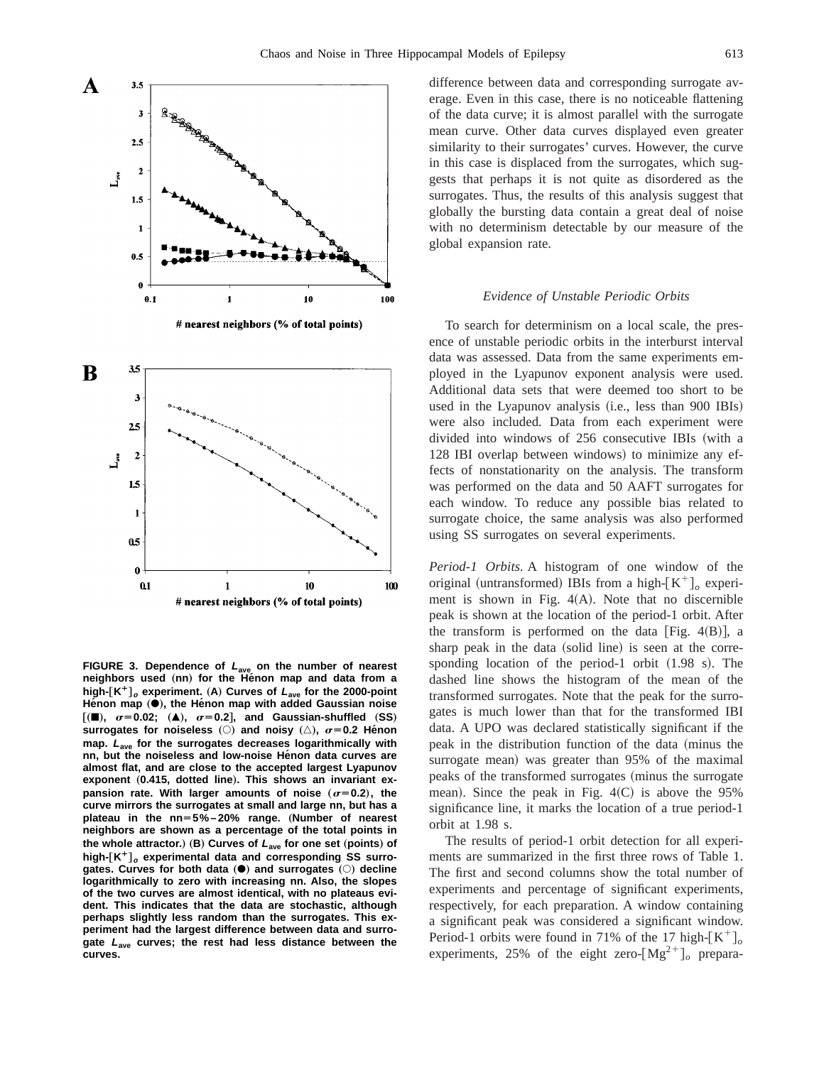



**FIGURE 3. Dependence of <sup>L</sup>ave on the number of nearest neighbors** used (nn) for the Henon map and data from a **high-**†**K¿**‡**<sup>o</sup> experiment.** "**A**… **Curves of <sup>L</sup>ave for the 2000-point** Hénon map ( $\bullet$ ), the Hénon map with added Gaussian noise  $[(\blacksquare), \ \sigma=0.02; \ (\blacktriangle), \ \sigma=0.2]$ , and Gaussian-shuffled (SS) **surrogates for noiseless**  $\textcircled{c}$  and noisy  $\textcircled{c}$ ,  $\sigma$ =0.2 He^non **map. <sup>L</sup>ave for the surrogates decreases logarithmically with nn, but the noiseless and low-noise He´non data curves are almost flat, and are close to the accepted largest Lyapunov** exponent (0.415, dotted line). This shows an invariant ex**pansion rate. With larger amounts of noise**  $(\sigma=0.2)$ **, the curve mirrors the surrogates at small and large nn, but has a** plateau in the nn=5%-20% range. (Number of nearest **neighbors are shown as a percentage of the total points in the whole attractor.**) (B) Curves of  $L_{ave}$  for one set (points) of **high-**†**K¿**‡**<sup>o</sup> experimental data and corresponding SS surro**gates. Curves for both data ( $\bullet$ ) and surrogates ( $\circ$ ) decline **logarithmically to zero with increasing nn. Also, the slopes of the two curves are almost identical, with no plateaus evident. This indicates that the data are stochastic, although perhaps slightly less random than the surrogates. This experiment had the largest difference between data and surrogate <sup>L</sup>ave curves; the rest had less distance between the curves.**

difference between data and corresponding surrogate average. Even in this case, there is no noticeable flattening of the data curve; it is almost parallel with the surrogate mean curve. Other data curves displayed even greater similarity to their surrogates' curves. However, the curve in this case is displaced from the surrogates, which suggests that perhaps it is not quite as disordered as the surrogates. Thus, the results of this analysis suggest that globally the bursting data contain a great deal of noise with no determinism detectable by our measure of the global expansion rate.

#### *Evidence of Unstable Periodic Orbits*

To search for determinism on a local scale, the presence of unstable periodic orbits in the interburst interval data was assessed. Data from the same experiments employed in the Lyapunov exponent analysis were used. Additional data sets that were deemed too short to be used in the Lyapunov analysis (i.e., less than 900 IBIs) were also included. Data from each experiment were divided into windows of  $256$  consecutive IBIs (with a 128 IBI overlap between windows) to minimize any effects of nonstationarity on the analysis. The transform was performed on the data and 50 AAFT surrogates for each window. To reduce any possible bias related to surrogate choice, the same analysis was also performed using SS surrogates on several experiments.

*Period-1 Orbits.* A histogram of one window of the original (untransformed) IBIs from a high- $[K^+]_o$  experiment is shown in Fig.  $4(A)$ . Note that no discernible peak is shown at the location of the period-1 orbit. After the transform is performed on the data [Fig.  $4(B)$ ], a sharp peak in the data (solid line) is seen at the corresponding location of the period-1 orbit  $(1.98 \text{ s})$ . The dashed line shows the histogram of the mean of the transformed surrogates. Note that the peak for the surrogates is much lower than that for the transformed IBI data. A UPO was declared statistically significant if the peak in the distribution function of the data (minus the surrogate mean) was greater than 95% of the maximal peaks of the transformed surrogates (minus the surrogate mean). Since the peak in Fig.  $4(C)$  is above the 95% significance line, it marks the location of a true period-1 orbit at 1.98 s.

The results of period-1 orbit detection for all experiments are summarized in the first three rows of Table 1. The first and second columns show the total number of experiments and percentage of significant experiments, respectively, for each preparation. A window containing a significant peak was considered a significant window. Period-1 orbits were found in 71% of the 17 high- $[K^+]_o$ experiments, 25% of the eight zero- $[Mg^{2+}]_o$  prepara-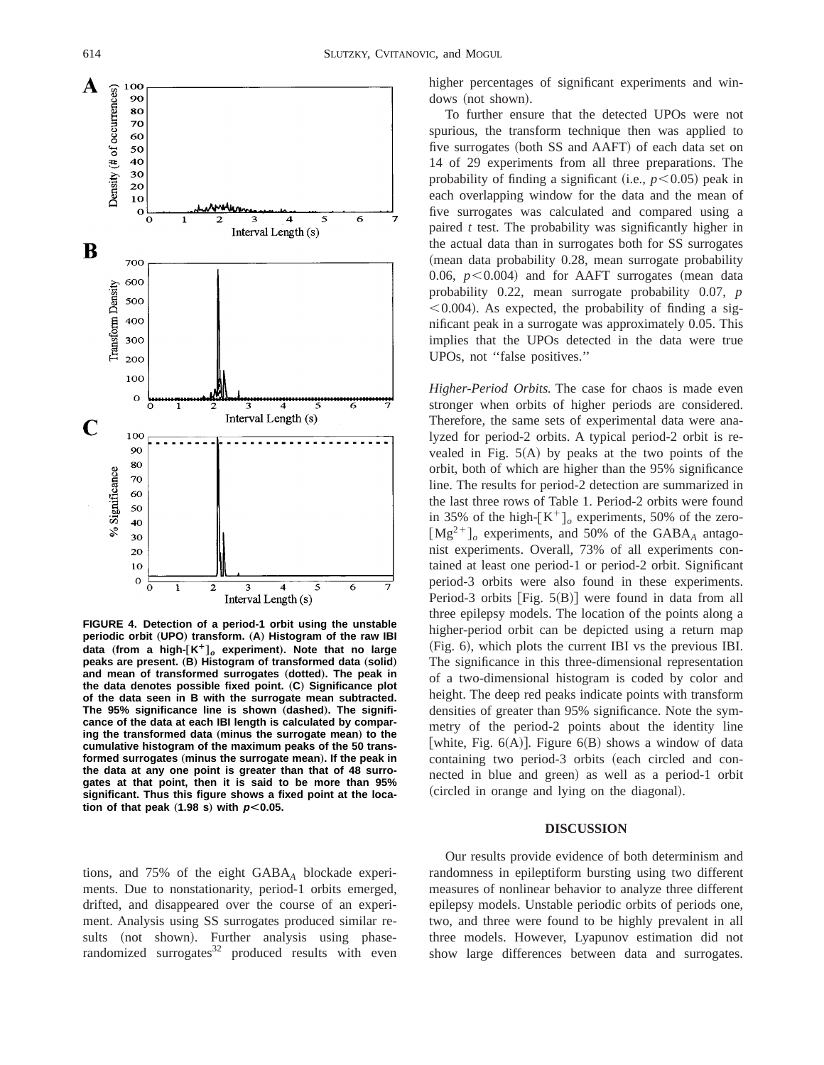

**FIGURE 4. Detection of a period-1 orbit using the unstable periodic orbit** (UPO) transform. (A) Histogram of the raw IBI **data** (from a high- $[K^+]_o$  experiment). Note that no large **peaks are present.** (B) Histogram of transformed data (solid) and mean of transformed surrogates (dotted). The peak in **the data denotes possible fixed point.** "**C**… **Significance plot of the data seen in B with the surrogate mean subtracted.** The 95% significance line is shown (dashed). The signifi**cance of the data at each IBI length is calculated by compar**ing the transformed data (minus the surrogate mean) to the **cumulative histogram of the maximum peaks of the 50 trans**formed surrogates (minus the surrogate mean). If the peak in **the data at any one point is greater than that of 48 surrogates at that point, then it is said to be more than 95% significant. Thus this figure shows a fixed point at the location of that peak**  $(1.98 \text{ s})$  with  $p < 0.05$ .

tions, and 75% of the eight GABA*<sup>A</sup>* blockade experiments. Due to nonstationarity, period-1 orbits emerged, drifted, and disappeared over the course of an experiment. Analysis using SS surrogates produced similar results (not shown). Further analysis using phaserandomized surrogates $32$  produced results with even higher percentages of significant experiments and windows (not shown).

To further ensure that the detected UPOs were not spurious, the transform technique then was applied to five surrogates (both SS and AAFT) of each data set on 14 of 29 experiments from all three preparations. The probability of finding a significant (i.e.,  $p$ <0.05) peak in each overlapping window for the data and the mean of five surrogates was calculated and compared using a paired *t* test. The probability was significantly higher in the actual data than in surrogates both for SS surrogates (mean data probability 0.28, mean surrogate probability 0.06,  $p < 0.004$  and for AAFT surrogates (mean data probability 0.22, mean surrogate probability 0.07, *p*  $\leq 0.004$ ). As expected, the probability of finding a significant peak in a surrogate was approximately 0.05. This implies that the UPOs detected in the data were true UPOs, not ''false positives.''

*Higher-Period Orbits.* The case for chaos is made even stronger when orbits of higher periods are considered. Therefore, the same sets of experimental data were analyzed for period-2 orbits. A typical period-2 orbit is revealed in Fig.  $5(A)$  by peaks at the two points of the orbit, both of which are higher than the 95% significance line. The results for period-2 detection are summarized in the last three rows of Table 1. Period-2 orbits were found in 35% of the high- $[K^+]_o$  experiments, 50% of the zero- $[Mg^{2+}]_o$  experiments, and 50% of the GABA<sub>A</sub> antagonist experiments. Overall, 73% of all experiments contained at least one period-1 or period-2 orbit. Significant period-3 orbits were also found in these experiments. Period-3 orbits  $[Fig. 5(B)]$  were found in data from all three epilepsy models. The location of the points along a higher-period orbit can be depicted using a return map  $(Fig. 6)$ , which plots the current IBI vs the previous IBI. The significance in this three-dimensional representation of a two-dimensional histogram is coded by color and height. The deep red peaks indicate points with transform densities of greater than 95% significance. Note the symmetry of the period-2 points about the identity line [white, Fig.  $6(A)$ ]. Figure  $6(B)$  shows a window of data containing two period-3 orbits (each circled and connected in blue and green) as well as a period-1 orbit (circled in orange and lying on the diagonal).

## **DISCUSSION**

Our results provide evidence of both determinism and randomness in epileptiform bursting using two different measures of nonlinear behavior to analyze three different epilepsy models. Unstable periodic orbits of periods one, two, and three were found to be highly prevalent in all three models. However, Lyapunov estimation did not show large differences between data and surrogates.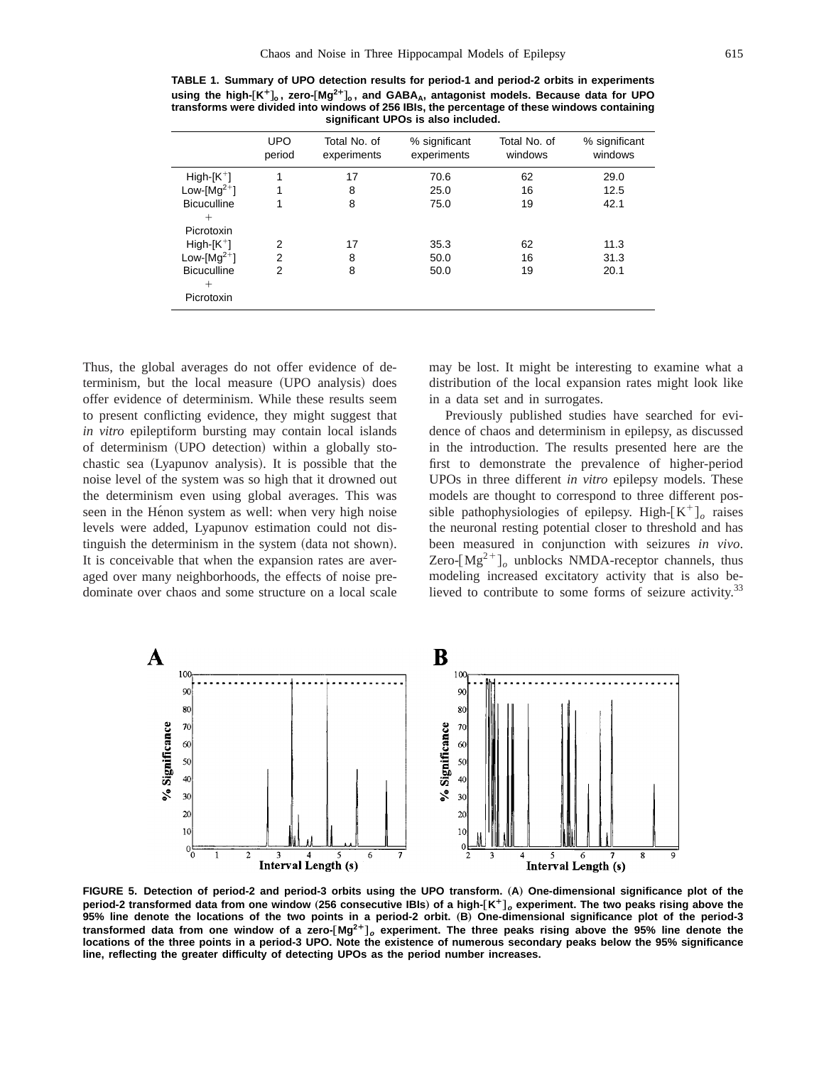**TABLE 1. Summary of UPO detection results for period-1 and period-2 orbits in experiments using the high-**†**K¿**‡**<sup>o</sup> , zero-**†**Mg<sup>2</sup>¿**‡**<sup>o</sup> , and GABAA, antagonist models. Because data for UPO transforms were divided into windows of 256 IBIs, the percentage of these windows containing significant UPOs is also included.**

|                    | <b>UPO</b><br>period | Total No. of<br>experiments | % significant<br>experiments | Total No. of<br>windows | % significant<br>windows |
|--------------------|----------------------|-----------------------------|------------------------------|-------------------------|--------------------------|
| $High[K^+]$        | 1                    | 17                          | 70.6                         | 62                      | 29.0                     |
| Low-[ $Mg^{2+}$ ]  | 1                    | 8                           | 25.0                         | 16                      | 12.5                     |
| <b>Bicuculline</b> | 1                    | 8                           | 75.0                         | 19                      | 42.1                     |
| $^{+}$             |                      |                             |                              |                         |                          |
| Picrotoxin         |                      |                             |                              |                         |                          |
| $High[K^+]$        | $\overline{2}$       | 17                          | 35.3                         | 62                      | 11.3                     |
| Low-[ $Mg^{2+}$ ]  | $\overline{2}$       | 8                           | 50.0                         | 16                      | 31.3                     |
| <b>Bicuculline</b> | $\overline{2}$       | 8                           | 50.0                         | 19                      | 20.1                     |
| $^{+}$             |                      |                             |                              |                         |                          |
| Picrotoxin         |                      |                             |                              |                         |                          |

Thus, the global averages do not offer evidence of determinism, but the local measure (UPO analysis) does offer evidence of determinism. While these results seem to present conflicting evidence, they might suggest that *in vitro* epileptiform bursting may contain local islands of determinism (UPO detection) within a globally stochastic sea (Lyapunov analysis). It is possible that the noise level of the system was so high that it drowned out the determinism even using global averages. This was seen in the Hénon system as well: when very high noise levels were added, Lyapunov estimation could not distinguish the determinism in the system (data not shown). It is conceivable that when the expansion rates are averaged over many neighborhoods, the effects of noise predominate over chaos and some structure on a local scale

may be lost. It might be interesting to examine what a distribution of the local expansion rates might look like in a data set and in surrogates.

Previously published studies have searched for evidence of chaos and determinism in epilepsy, as discussed in the introduction. The results presented here are the first to demonstrate the prevalence of higher-period UPOs in three different *in vitro* epilepsy models. These models are thought to correspond to three different possible pathophysiologies of epilepsy. High- $K^+$ <sup>*o*</sup> raises the neuronal resting potential closer to threshold and has been measured in conjunction with seizures *in vivo*. Zero- $[Mg^{2+}]_o$  unblocks NMDA-receptor channels, thus modeling increased excitatory activity that is also believed to contribute to some forms of seizure activity.<sup>33</sup>



FIGURE 5. Detection of period-2 and period-3 orbits using the UPO transform. (A) One-dimensional significance plot of the **period-2 transformed data from one window** (256 consecutive IBIs) of a high-[K<sup>+</sup>]<sub>o</sub> experiment. The two peaks rising above the **95% line denote the locations of the two points in a period-2 orbit.** "**B**… **One-dimensional significance plot of the period-3 transformed data from one window of a zero-**†**Mg2¿**‡**<sup>o</sup> experiment. The three peaks rising above the 95% line denote the locations of the three points in a period-3 UPO. Note the existence of numerous secondary peaks below the 95% significance line, reflecting the greater difficulty of detecting UPOs as the period number increases.**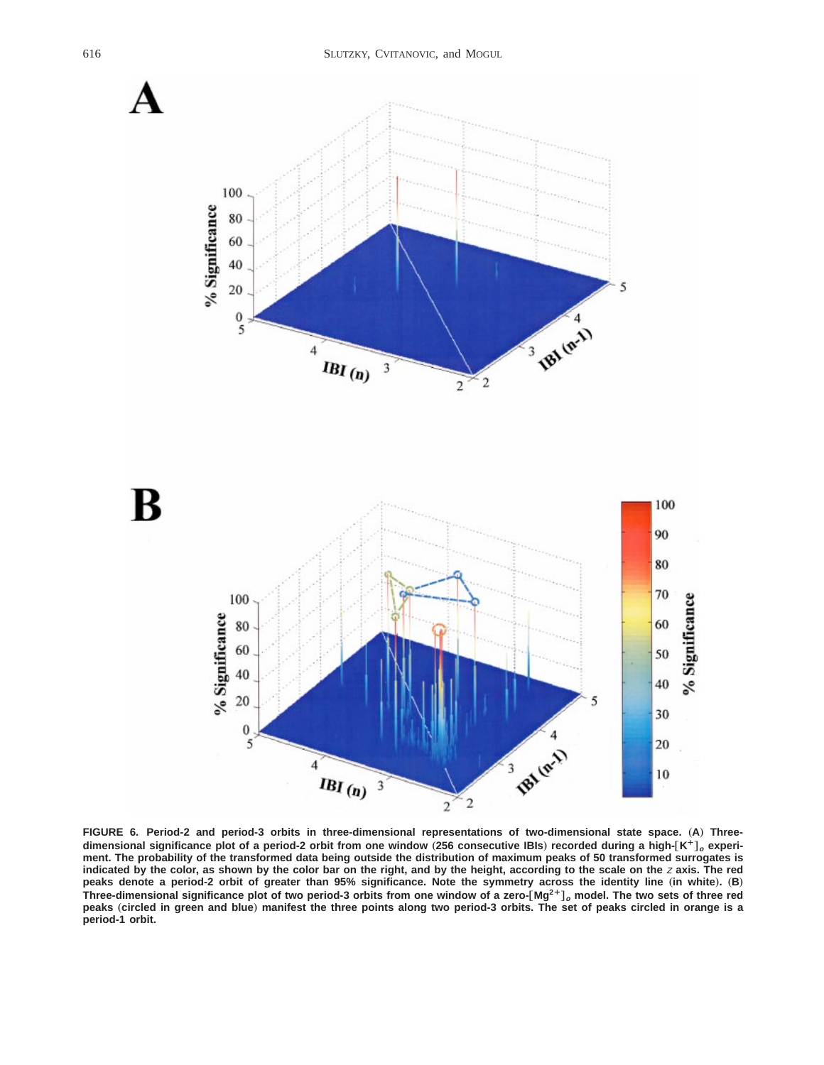

**FIGURE 6. Period-2 and period-3 orbits in three-dimensional representations of two-dimensional state space.** "**A**… **Three**dimensional significance plot of a period-2 orbit from one window (256 consecutive IBIs) recorded during a high- $[K^+]_o$  experi**ment. The probability of the transformed data being outside the distribution of maximum peaks of 50 transformed surrogates is indicated by the color, as shown by the color bar on the right, and by the height, according to the scale on the** <sup>z</sup> **axis. The red** peaks denote a period-2 orbit of greater than 95% significance. Note the symmetry across the identity line (in white). (B) **Three-dimensional significance plot of two period-3 orbits from one window of a zero-**†**Mg2¿**‡**<sup>o</sup> model. The two sets of three red peaks** "**circled in green and blue**… **manifest the three points along two period-3 orbits. The set of peaks circled in orange is a period-1 orbit.**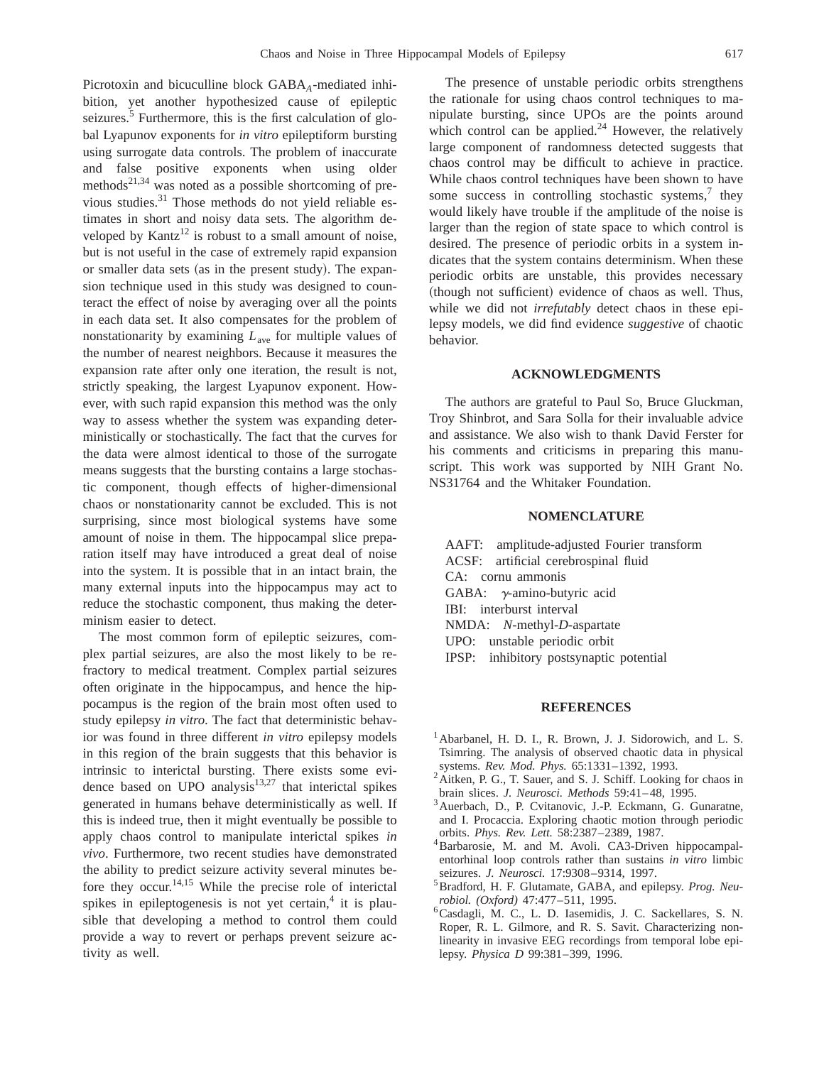Picrotoxin and bicuculline block GABA<sub>A</sub>-mediated inhibition, yet another hypothesized cause of epileptic seizures.<sup>5</sup> Furthermore, this is the first calculation of global Lyapunov exponents for *in vitro* epileptiform bursting using surrogate data controls. The problem of inaccurate and false positive exponents when using older methods<sup>21,34</sup> was noted as a possible shortcoming of previous studies.31 Those methods do not yield reliable estimates in short and noisy data sets. The algorithm developed by Kantz<sup>12</sup> is robust to a small amount of noise, but is not useful in the case of extremely rapid expansion or smaller data sets (as in the present study). The expansion technique used in this study was designed to counteract the effect of noise by averaging over all the points in each data set. It also compensates for the problem of nonstationarity by examining *L*ave for multiple values of the number of nearest neighbors. Because it measures the expansion rate after only one iteration, the result is not, strictly speaking, the largest Lyapunov exponent. However, with such rapid expansion this method was the only way to assess whether the system was expanding deterministically or stochastically. The fact that the curves for the data were almost identical to those of the surrogate means suggests that the bursting contains a large stochastic component, though effects of higher-dimensional chaos or nonstationarity cannot be excluded. This is not surprising, since most biological systems have some amount of noise in them. The hippocampal slice preparation itself may have introduced a great deal of noise into the system. It is possible that in an intact brain, the many external inputs into the hippocampus may act to reduce the stochastic component, thus making the determinism easier to detect.

The most common form of epileptic seizures, complex partial seizures, are also the most likely to be refractory to medical treatment. Complex partial seizures often originate in the hippocampus, and hence the hippocampus is the region of the brain most often used to study epilepsy *in vitro*. The fact that deterministic behavior was found in three different *in vitro* epilepsy models in this region of the brain suggests that this behavior is intrinsic to interictal bursting. There exists some evidence based on UPO analysis $13,27$  that interictal spikes generated in humans behave deterministically as well. If this is indeed true, then it might eventually be possible to apply chaos control to manipulate interictal spikes *in vivo*. Furthermore, two recent studies have demonstrated the ability to predict seizure activity several minutes before they occur.<sup>14,15</sup> While the precise role of interictal spikes in epileptogenesis is not yet certain, $4$  it is plausible that developing a method to control them could provide a way to revert or perhaps prevent seizure activity as well.

The presence of unstable periodic orbits strengthens the rationale for using chaos control techniques to manipulate bursting, since UPOs are the points around which control can be applied.<sup>24</sup> However, the relatively large component of randomness detected suggests that chaos control may be difficult to achieve in practice. While chaos control techniques have been shown to have some success in controlling stochastic systems, $7$  they would likely have trouble if the amplitude of the noise is larger than the region of state space to which control is desired. The presence of periodic orbits in a system indicates that the system contains determinism. When these periodic orbits are unstable, this provides necessary (though not sufficient) evidence of chaos as well. Thus, while we did not *irrefutably* detect chaos in these epilepsy models, we did find evidence *suggestive* of chaotic behavior.

#### **ACKNOWLEDGMENTS**

The authors are grateful to Paul So, Bruce Gluckman, Troy Shinbrot, and Sara Solla for their invaluable advice and assistance. We also wish to thank David Ferster for his comments and criticisms in preparing this manuscript. This work was supported by NIH Grant No. NS31764 and the Whitaker Foundation.

#### **NOMENCLATURE**

AAFT: amplitude-adjusted Fourier transform ACSF: artificial cerebrospinal fluid CA: cornu ammonis GABA:  $\gamma$ -amino-butyric acid IBI: interburst interval NMDA: *N*-methyl-*D*-aspartate UPO: unstable periodic orbit IPSP: inhibitory postsynaptic potential

## **REFERENCES**

- <sup>1</sup> Abarbanel, H. D. I., R. Brown, J. J. Sidorowich, and L. S. Tsimring. The analysis of observed chaotic data in physical
- systems. *Rev. Mod. Phys.* 65:1331-1392, 1993.<br><sup>2</sup>Aitken, P. G., T. Sauer, and S. J. Schiff. Looking for chaos in brain slices. *J. Neurosci. Methods* 59:41-48, 1995.
- <sup>3</sup> Auerbach, D., P. Cvitanovic, J.-P. Eckmann, G. Gunaratne, and I. Procaccia. Exploring chaotic motion through periodic orbits. *Phys. Rev. Lett.* 58:2387–2389, 1987. 4Barbarosie, M. and M. Avoli. CA3-Driven hippocampal-
- entorhinal loop controls rather than sustains *in vitro* limbic
- seizures. *J. Neurosci.* 17:9308-9314, 1997.<br><sup>5</sup> Bradford, H. F. Glutamate, GABA, and epilepsy. *Prog. Neurobiol. (Oxford)* 47:477-511, 1995.<br><sup>6</sup>Casdagli, M. C., L. D. Iasemidis, J. C. Sackellares, S. N.
- Roper, R. L. Gilmore, and R. S. Savit. Characterizing nonlinearity in invasive EEG recordings from temporal lobe epilepsy. *Physica D* 99:381–399, 1996.